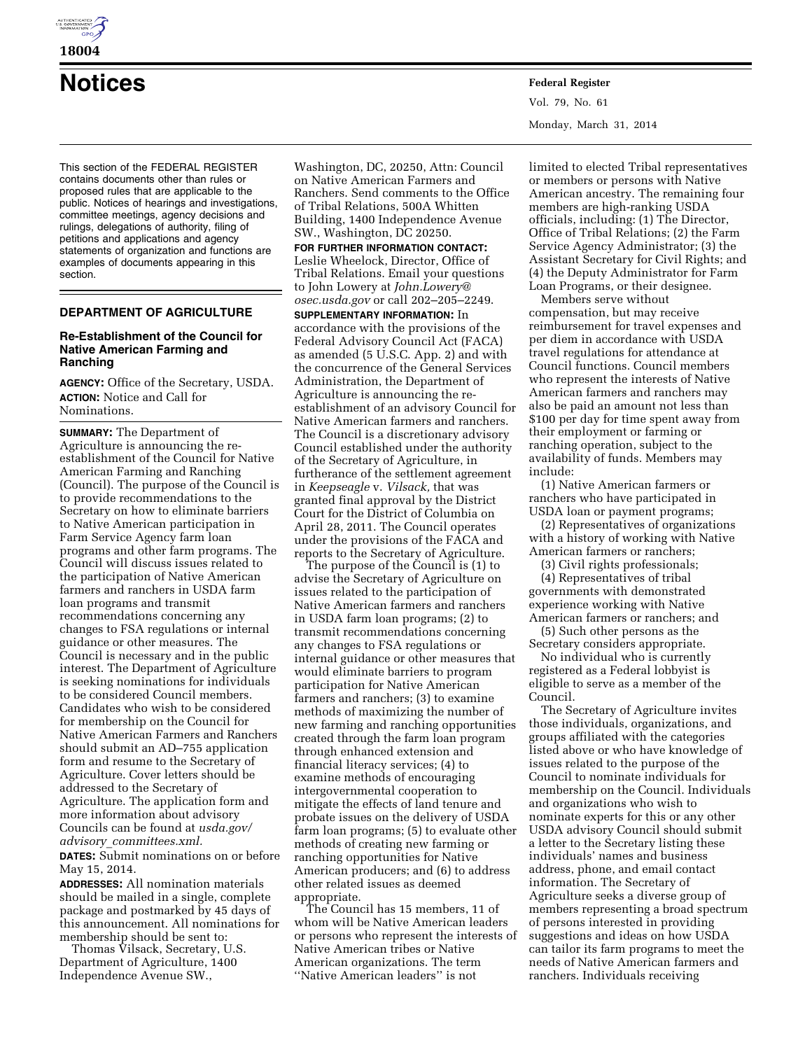

**18004** 

**Notices Federal Register**

This section of the FEDERAL REGISTER contains documents other than rules or proposed rules that are applicable to the public. Notices of hearings and investigations, committee meetings, agency decisions and rulings, delegations of authority, filing of petitions and applications and agency statements of organization and functions are examples of documents appearing in this section.

# **DEPARTMENT OF AGRICULTURE**

## **Re-Establishment of the Council for Native American Farming and Ranching**

**AGENCY:** Office of the Secretary, USDA. **ACTION:** Notice and Call for Nominations.

**SUMMARY:** The Department of Agriculture is announcing the reestablishment of the Council for Native American Farming and Ranching (Council). The purpose of the Council is to provide recommendations to the Secretary on how to eliminate barriers to Native American participation in Farm Service Agency farm loan programs and other farm programs. The Council will discuss issues related to the participation of Native American farmers and ranchers in USDA farm loan programs and transmit recommendations concerning any changes to FSA regulations or internal guidance or other measures. The Council is necessary and in the public interest. The Department of Agriculture is seeking nominations for individuals to be considered Council members. Candidates who wish to be considered for membership on the Council for Native American Farmers and Ranchers should submit an AD–755 application form and resume to the Secretary of Agriculture. Cover letters should be addressed to the Secretary of Agriculture. The application form and more information about advisory Councils can be found at *usda.gov/ advisory*\_*committees.xml.* 

**DATES:** Submit nominations on or before May 15, 2014.

**ADDRESSES:** All nomination materials should be mailed in a single, complete package and postmarked by 45 days of this announcement. All nominations for membership should be sent to:

Thomas Vilsack, Secretary, U.S. Department of Agriculture, 1400 Independence Avenue SW.,

Washington, DC, 20250, Attn: Council on Native American Farmers and Ranchers. Send comments to the Office of Tribal Relations, 500A Whitten Building, 1400 Independence Avenue SW., Washington, DC 20250.

**FOR FURTHER INFORMATION CONTACT:**  Leslie Wheelock, Director, Office of Tribal Relations. Email your questions to John Lowery at *[John.Lowery@](mailto:John.Lowery@osec.usda.gov) [osec.usda.gov](mailto:John.Lowery@osec.usda.gov)* or call 202–205–2249.

**SUPPLEMENTARY INFORMATION:** In accordance with the provisions of the Federal Advisory Council Act (FACA) as amended (5 U.S.C. App. 2) and with the concurrence of the General Services Administration, the Department of Agriculture is announcing the reestablishment of an advisory Council for Native American farmers and ranchers. The Council is a discretionary advisory Council established under the authority of the Secretary of Agriculture, in furtherance of the settlement agreement in *Keepseagle* v. *Vilsack,* that was granted final approval by the District Court for the District of Columbia on April 28, 2011. The Council operates under the provisions of the FACA and reports to the Secretary of Agriculture.

The purpose of the Council is (1) to advise the Secretary of Agriculture on issues related to the participation of Native American farmers and ranchers in USDA farm loan programs; (2) to transmit recommendations concerning any changes to FSA regulations or internal guidance or other measures that would eliminate barriers to program participation for Native American farmers and ranchers; (3) to examine methods of maximizing the number of new farming and ranching opportunities created through the farm loan program through enhanced extension and financial literacy services; (4) to examine methods of encouraging intergovernmental cooperation to mitigate the effects of land tenure and probate issues on the delivery of USDA farm loan programs; (5) to evaluate other methods of creating new farming or ranching opportunities for Native American producers; and (6) to address other related issues as deemed appropriate.

The Council has 15 members, 11 of whom will be Native American leaders or persons who represent the interests of Native American tribes or Native American organizations. The term ''Native American leaders'' is not

Vol. 79, No. 61 Monday, March 31, 2014

limited to elected Tribal representatives or members or persons with Native American ancestry. The remaining four members are high-ranking USDA officials, including: (1) The Director, Office of Tribal Relations; (2) the Farm Service Agency Administrator; (3) the Assistant Secretary for Civil Rights; and (4) the Deputy Administrator for Farm Loan Programs, or their designee.

Members serve without compensation, but may receive reimbursement for travel expenses and per diem in accordance with USDA travel regulations for attendance at Council functions. Council members who represent the interests of Native American farmers and ranchers may also be paid an amount not less than \$100 per day for time spent away from their employment or farming or ranching operation, subject to the availability of funds. Members may include:

(1) Native American farmers or ranchers who have participated in USDA loan or payment programs;

(2) Representatives of organizations with a history of working with Native American farmers or ranchers;

(3) Civil rights professionals;

(4) Representatives of tribal governments with demonstrated experience working with Native American farmers or ranchers; and

(5) Such other persons as the Secretary considers appropriate.

No individual who is currently registered as a Federal lobbyist is eligible to serve as a member of the Council.

The Secretary of Agriculture invites those individuals, organizations, and groups affiliated with the categories listed above or who have knowledge of issues related to the purpose of the Council to nominate individuals for membership on the Council. Individuals and organizations who wish to nominate experts for this or any other USDA advisory Council should submit a letter to the Secretary listing these individuals' names and business address, phone, and email contact information. The Secretary of Agriculture seeks a diverse group of members representing a broad spectrum of persons interested in providing suggestions and ideas on how USDA can tailor its farm programs to meet the needs of Native American farmers and ranchers. Individuals receiving